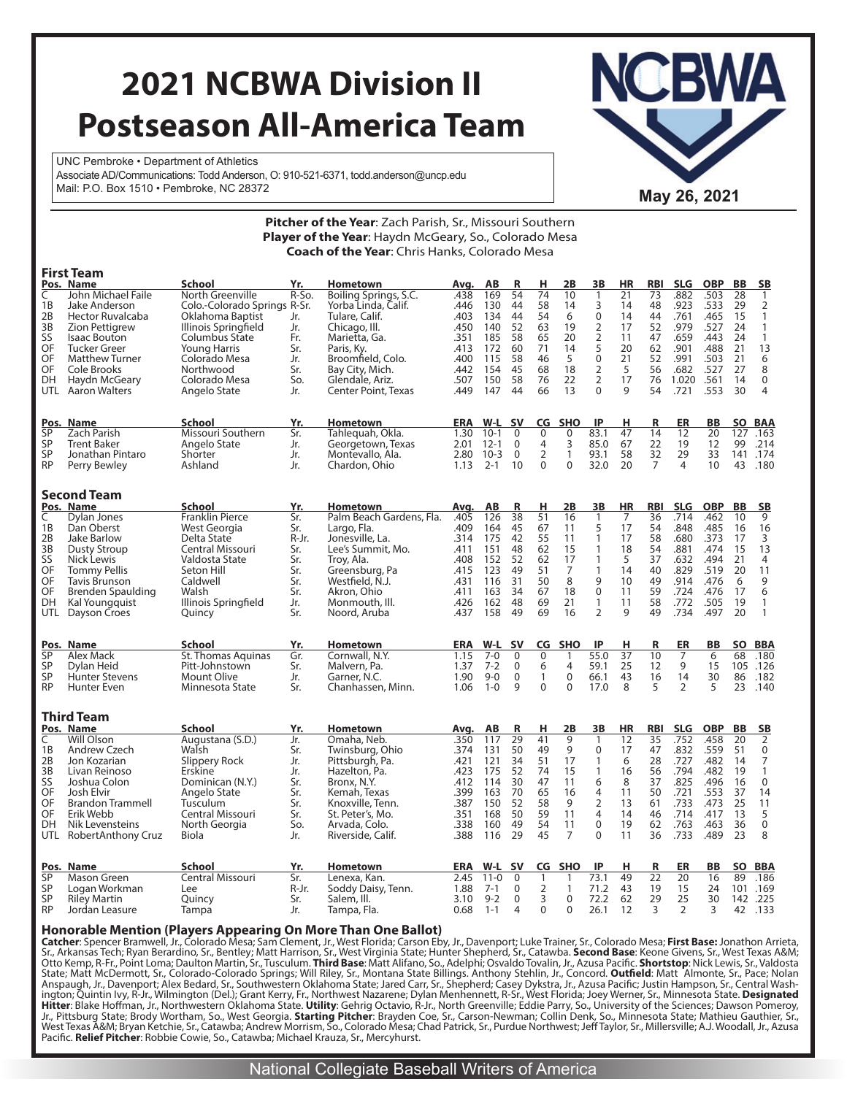# **2021 NCBWA Division II Postseason All-America Team**

UNC Pembroke • Department of Athletics Associate AD/Communications: Todd Anderson, O: 910-521-6371, todd.anderson@uncp.edu Mail: P.O. Box 1510 • Pembroke, NC 28372 **May 26, 2021 May 26, 2021** 



|                   |                                             |                                |            | <b>Pitcher of the Year:</b> Zach Parish, Sr., Missouri Southern                                               |              |                    |                     |                     |                     |                |           |                 |                      |            |           |                         |
|-------------------|---------------------------------------------|--------------------------------|------------|---------------------------------------------------------------------------------------------------------------|--------------|--------------------|---------------------|---------------------|---------------------|----------------|-----------|-----------------|----------------------|------------|-----------|-------------------------|
|                   |                                             |                                |            | Player of the Year: Haydn McGeary, So., Colorado Mesa<br><b>Coach of the Year:</b> Chris Hanks, Colorado Mesa |              |                    |                     |                     |                     |                |           |                 |                      |            |           |                         |
|                   | <b>First Team</b>                           |                                |            |                                                                                                               |              |                    |                     |                     |                     |                |           |                 |                      |            |           |                         |
|                   | Pos. Name                                   | <b>School</b>                  | Yr.        | <b>Hometown</b>                                                                                               | Avg.         | AВ                 | R                   | н                   | 2Β                  | 3B             | <b>HR</b> | <b>RBI</b>      | <b>SLG</b>           | <b>OBP</b> | <b>BB</b> | <u>SB</u>               |
| C                 | John Michael Faile                          | North Greenville               | $R-S$ o.   | Boiling Springs, S.C.                                                                                         | .438         | 169                | 54                  | 74                  | 10                  | $\mathbf{1}$   | 21        | 73              | .882                 | .503       | 28        | $\mathbf{1}$            |
| 1B                | Jake Anderson                               | Colo.-Colorado Springs R-Sr.   |            | Yorba Linda, Calif.                                                                                           | .446         | 130                | 44                  | 58                  | 14                  | 3              | 14        | 48              | .923                 | .533       | 29        | $\overline{2}$          |
| 2B                | Hector Ruvalcaba                            | Oklahoma Baptist               | Jr.        | Tulare, Calif.                                                                                                | .403         | 134                | 44                  | 54                  | 6                   | $\pmb{0}$      | 14        | 44              | .761                 | .465       | 15        | $\mathbf{1}$            |
| 3B                | <b>Zion Pettigrew</b>                       | Illinois Springfield           | Jr.        | Chicago, III.                                                                                                 | .450         | 140                | 52                  | 63                  | 19                  | $\overline{2}$ | 17        | 52              | .979                 | .527       | 24        | $\mathbf{1}$            |
| SS                | <b>Isaac Bouton</b>                         | Columbus State                 | Fr.        | Marietta, Ga.                                                                                                 | .351         | 185                | 58                  | 65                  | 20                  | $\overline{2}$ | 11        | 47              | .659                 | .443       | 24        | $\overline{1}$          |
| OF                | <b>Tucker Greer</b>                         | Young Harris                   | Sr.        | Paris, Ky.                                                                                                    | .413         | 172                | 60                  | 71                  | 14                  | 5              | 20        | 62              | .901                 | .488       | 21        | 13                      |
| OF                | <b>Matthew Turner</b>                       | Colorado Mesa                  | Jr.        | Broomfield, Colo.                                                                                             | .400         | 115                | 58                  | 46                  | 5                   | $\mathbf 0$    | 21        | 52              | .991                 | .503       | 21        | 6                       |
| OF                | Cole Brooks                                 | Northwood                      | Sr.        | Bay City, Mich.                                                                                               | .442         | 154                | 45                  | 68                  | 18                  | 2              | 5         | 56              | .682                 | .527       | 27        | 8                       |
| DH                | Haydn McGeary                               | Colorado Mesa                  | So.        | Glendale, Ariz.                                                                                               | .507         | 150                | 58                  | 76                  | 22                  | $\overline{2}$ | 17        | 76              | 1.020                | .561       | 14        | $\mathbf 0$             |
| UTL               | <b>Aaron Walters</b>                        | Angelo State                   | Jr.        | <b>Center Point, Texas</b>                                                                                    | .449         | 147                | 44                  | 66                  | 13                  | $\mathbf 0$    | 9         | 54              | .721                 | .553       | 30        | $\overline{\mathbf{4}}$ |
|                   |                                             |                                |            |                                                                                                               |              |                    |                     |                     |                     |                |           |                 |                      |            |           |                         |
| Pos.              | Name                                        | School                         | Yr.        | <b>Hometown</b>                                                                                               | <b>ERA</b>   | W-L                | <b>SV</b>           | CG                  | <b>SHO</b>          | IP             | н         | R               | ER                   | BB         | SO        | <b>BAA</b>              |
| <b>SP</b>         | Zach Parish                                 | Missouri Southern              | Sr.        | Tahleguah, Okla.                                                                                              | 1.30         | $10-1$             | $\mathbf 0$         | $\mathbf 0$         | 0                   | 83.1           | 47        | 14              | 12                   | 20         | 127       | .163                    |
| SP                | <b>Trent Baker</b>                          | Angelo State                   | Jr.        | Georgetown, Texas                                                                                             | 2.01         | $12 - 1$           | $\mathbf 0$         | 4<br>$\overline{2}$ | 3                   | 85.0           | 67        | 22              | 19                   | 12         | 99        | .214                    |
| SP                | Jonathan Pintaro                            | Shorter                        | Jr.        | Montevallo, Ala.                                                                                              | 2.80         | $10-3$             | $\mathbf 0$         |                     | $\mathbf{1}$        | 93.1           | 58        | 32              | 29                   | 33         | 141       | .174                    |
| <b>RP</b>         | Perry Bewley                                | Ashland                        | Jr.        | Chardon, Ohio                                                                                                 | 1.13         | $2 - 1$            | 10                  | $\Omega$            | $\mathbf 0$         | 32.0           | 20        | $\overline{7}$  | 4                    | 10         | 43        | .180                    |
|                   | <b>Second Team</b>                          |                                |            |                                                                                                               |              |                    |                     |                     |                     |                |           |                 |                      |            |           |                         |
|                   | Pos. Name                                   | School                         | Yr.        | <b>Hometown</b>                                                                                               | Avg.         | AB                 | R                   | н                   | 2B                  | 3B             | <b>HR</b> | RBI             | <b>SLG</b>           | <b>OBP</b> | <b>BB</b> | <b>SB</b>               |
| C                 | Dylan Jones                                 | <b>Franklin Pierce</b>         | Sr.        | Palm Beach Gardens, Fla.                                                                                      | .405         | 126                | 38                  | 51                  | 16                  | 1              | 7         | 36              | .714                 | .462       | 10        | 9                       |
| 1B                | Dan Oberst                                  | West Georgia                   | Sr.        | Largo, Fla.                                                                                                   | .409         | 164                | 45                  | 67                  | 11                  | 5              | 17        | 54              | .848                 | .485       | 16        | 16                      |
| 2B                | Jake Barlow                                 | Delta State                    | R-Jr.      | Jonesville, La.                                                                                               | .314         | 175                | 42                  | 55                  | 11                  | $\mathbf{1}$   | 17        | 58              | .680                 | .373       | 17        | 3                       |
| 3B                | Dusty Stroup                                | Central Missouri               | Sr.        | Lee's Summit, Mo.                                                                                             | .411         | 151                | 48                  | 62                  | 15                  | $\mathbf{1}$   | 18        | 54              | .881                 | .474       | 15        | 13                      |
| SS                | Nick Lewis                                  | Valdosta State                 | Sr.        | Troy, Ala.                                                                                                    | .408         | 152                | 52                  | 62                  | 17                  | $\mathbf{1}$   | 5         | 37              | .632                 | .494       | 21        | $\overline{4}$          |
| OF                | <b>Tommy Pellis</b>                         | Seton Hill                     | Sr.        | Greensburg, Pa                                                                                                | .415         | 123                | 49                  | 51                  | 7                   | 1              | 14        | 40              | .829                 | .519       | 20        | 11                      |
| OF                | <b>Tavis Brunson</b>                        | Caldwell                       | Sr.        | Westfield, N.J.                                                                                               | .431         | 116                | 31                  | 50                  | 8                   | 9              | 10        | 49              | .914                 | .476       | 6         | 9                       |
| OF                | <b>Brenden Spaulding</b>                    | Walsh                          | Sr.        | Akron, Ohio                                                                                                   | .411         | 163                | 34                  | 67                  | 18                  | $\overline{0}$ | 11        | 59              | .724                 | .476       | 17        | $6\phantom{a}$          |
| DH                | Kal Youngquist                              | Illinois Springfield           | Jr.        | Monmouth, Ill.                                                                                                | .426         | 162                | 48                  | 69                  | 21                  | $\mathbf{1}$   | 11        | 58              | .772                 | .505       | 19        | $\mathbf{1}$            |
| UTL               | Dayson Croes                                | Quincy                         | Sr.        | Noord, Aruba                                                                                                  | .437         | 158                | 49                  | 69                  | 16                  | $\overline{2}$ | 9         | 49              | .734                 | .497       | 20        | $\mathbf{1}$            |
|                   |                                             |                                |            |                                                                                                               |              |                    |                     |                     |                     |                |           |                 |                      |            |           |                         |
|                   | Pos. Name                                   | School                         | Yr.        | <b>Hometown</b>                                                                                               |              | ERA W-L            | <b>SV</b>           | CG                  | <b>SHO</b>          | IP             | н         | R               | ER                   | BB         |           | SO BBA                  |
| SP<br>SP          | Alex Mack                                   | <b>St. Thomas Aquinas</b>      | Gr.        | Cornwall, N.Y.                                                                                                | 1.15         | $7 - 0$<br>$7 - 2$ | 0<br>$\overline{0}$ | 0                   | 1<br>$\overline{4}$ | 55.0<br>59.1   | 37<br>25  | 10              | 7<br>9               | 6<br>15    | 68        | .180<br>.126            |
|                   | Dylan Heid                                  | Pitt-Johnstown                 | Sr.        | Malvern, Pa.                                                                                                  | 1.37<br>1.90 | $9 - 0$            |                     | 6                   | $\mathbf 0$         |                |           | 12              |                      |            | 105       |                         |
| SP<br><b>RP</b>   | <b>Hunter Stevens</b><br><b>Hunter Even</b> | Mount Olive<br>Minnesota State | Jr.<br>Sr. | Garner, N.C.<br>Chanhassen, Minn.                                                                             | 1.06         | $1 - 0$            | $\mathbf 0$<br>9    | 1<br>$\mathbf 0$    | $\mathbf 0$         | 66.1<br>17.0   | 43<br>8   | 16<br>5         | 14<br>$\overline{2}$ | 30<br>5    | 86<br>23  | .182<br>.140            |
|                   |                                             |                                |            |                                                                                                               |              |                    |                     |                     |                     |                |           |                 |                      |            |           |                         |
| <b>Third Team</b> |                                             |                                |            |                                                                                                               |              |                    |                     |                     |                     |                |           |                 |                      |            |           |                         |
|                   | Pos. Name                                   | School                         | Yr.        | <b>Hometown</b>                                                                                               | Avg.         | AВ                 | R                   | н,                  | 2B                  | 3B             | HR        | <b>RBI</b>      | <b>SLG</b>           | <b>OBP</b> | BB        | <b>SB</b>               |
| C                 | Will Olson                                  | Augustana (S.D.)               | Jr.        | Omaha, Neb.                                                                                                   | .350         | 117                | 29                  | 41                  | $\overline{9}$      | 1              | 12        | 35              | .752                 | .458       | 20        | $\overline{2}$          |
| 1B                | Andrew Czech                                | Walsh                          | Sr.        | Twinsburg, Ohio                                                                                               | .374         | 131                | 50                  | 49                  | 9                   | 0              | 17        | 47              | .832                 | .559       | 51        | 0                       |
| 2B                | Jon Kozarian                                | Slippery Rock                  | Jr.        | Pittsburgh, Pa.                                                                                               | .421         | 121                | 34                  | 51                  | 17                  | 1              | 6         | 28              | .727                 | .482       | 14        | $\overline{7}$          |
| 3B                | Livan Reinoso                               | <b>Erskine</b>                 | Jr.        | Hazelton, Pa.                                                                                                 | .423         | 175                | 52                  | 74                  | 15                  | $\mathbf{1}$   | 16        | 56              | .794                 | .482       | 19        | $\mathbf{1}$            |
| SS                | Joshua Colon                                | Dominican (N.Y.)               | Sr.        | Bronx, N.Y.                                                                                                   | .412         | 114                | 30                  | 47                  | 11                  | 6              | 8         | 37              | .825                 | .496       | 16        | $\boldsymbol{0}$        |
| OF                | Josh Elvir                                  | Angelo State                   | Sr.        | Kemah, Texas                                                                                                  | .399         | 163                | 70                  | 65                  | 16                  | 4              | 11        | 50              | .721                 | .553       | 37        | 14                      |
| OF                | <b>Brandon Trammell</b>                     | Tusculum                       | Sr.        | Knoxville, Tenn.                                                                                              | .387         | 150                | 52                  | 58                  | 9                   | $\overline{2}$ | 13        | 61              | .733                 | .473       | 25        | 11                      |
| OF                | Erik Webb                                   | Central Missouri               | Sr.        | St. Peter's, Mo.                                                                                              | .351         | 168                | 50                  | 59                  | 11                  | $\overline{4}$ | 14        | 46              | .714                 | .417       | 13        | 5                       |
| DH                | Nik Levensteins                             | North Georgia                  | So.        | Arvada, Colo.                                                                                                 | .338         | 160                | 49                  | 54                  | 11                  | $\mathbf 0$    | 19        | 62              | .763                 | .463       | 36        | $\bar{0}$               |
| UTL               | Robert Anthony Cruz                         | Biola                          | Jr.        | Riverside, Calif.                                                                                             | .388         | 116                | 29                  | 45                  | $\overline{7}$      | 0              | 11        | 36              | .733                 | .489       | 23        | 8                       |
|                   |                                             |                                |            |                                                                                                               |              |                    |                     |                     |                     |                |           |                 |                      |            |           |                         |
|                   | Pos. Name                                   | <b>School</b>                  | Yr.        | <b>Hometown</b>                                                                                               | <b>ERA</b>   | W-L                | <b>SV</b>           |                     | CG SHO              | IP             | н         | R               | ER                   | BB         |           | SO BBA                  |
| SP                | Mason Green                                 | Central Missouri               | Sr.        | Lenexa, Kan.                                                                                                  | 2.45         | $11 - 0$           | $\mathbf 0$         | $\mathbf{1}$        | 1                   | 73.1           | 49        | $\overline{22}$ | 20                   | 16         | 89        | .186                    |
| SP                | Logan Workman                               | Lee                            | R-Jr.      | Soddy Daisy, Tenn.                                                                                            | 1.88         | $7 - 1$            | $\Omega$            | $\overline{2}$      | $\mathbf{1}$        | 71.2           | 43        | 19              | 15                   | 24         |           | 101 .169                |
| SP                | <b>Riley Martin</b>                         | Quincy                         | Sr.        | Salem, III.                                                                                                   | 3.10         | $9 - 2$            | $\overline{0}$      | 3                   | $\Omega$            | 72.2           | 62        | 29              | 25                   | 30         |           | 142.225                 |
| <b>RP</b>         | Jordan Leasure                              | Tampa                          | Jr.        | Tampa, Fla.                                                                                                   | 0.68         | $1 - 1$            | 4                   | $\mathbf 0$         | 0                   | 26.1           | 12        | 3               | $\overline{2}$       | 3          | 42        | .133                    |

#### **Honorable Mention (Players Appearing On More Than One Ballot)**

**Catcher**: Spencer Bramwell, Jr., Colorado Mesa; Sam Clement, Jr., West Florida; Carson Eby, Jr., Davenport; Luke Trainer, Sr., Colorado Mesa; **First Base:** Jonathon Arrieta,<br>Sr., Arkansas Tech; Ryan Berardino, Sr., Bentle State; Matt McDermott, Sr., Colorado-Colorado Springs; Will Riley, Sr., Montana State Billings. Anthony Stehlin, Jr., Concord. **Outfield**: Matt Almonte, Sr., Pace; Nolan Anspaugh, Jr., Davenport; Alex Bedard, Sr., Southwestern Oklahoma State; Jared Carr, Sr., Shepherd; Casey Dykstra, Jr., Azusa Pacific; Justin Hampson, Sr., Central Washington; Quintin Ivy, R-Jr., Wilmington (Del.); Grant K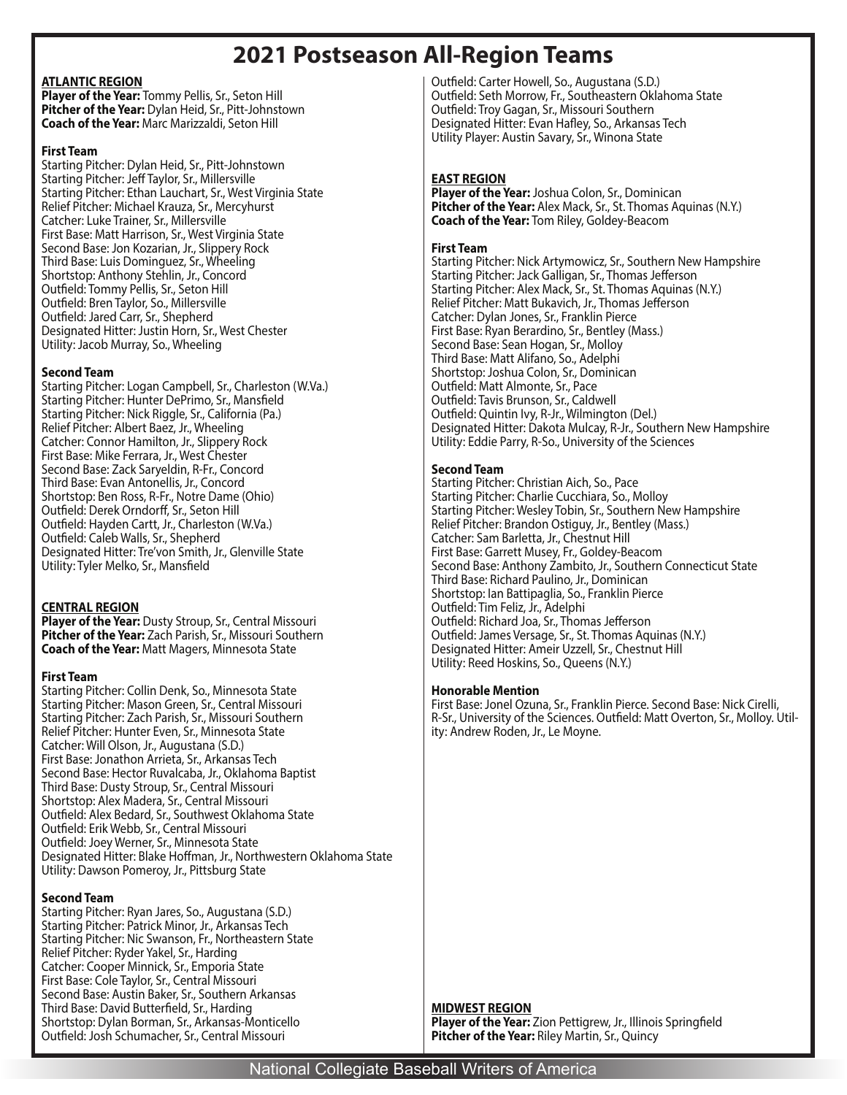# **2021 Postseason All-Region Teams**

### **ATLANTIC REGION**

**Player of the Year:** Tommy Pellis, Sr., Seton Hill **Pitcher of the Year:** Dylan Heid, Sr., Pitt-Johnstown **Coach of the Year:** Marc Marizzaldi, Seton Hill

#### **First Team**

Starting Pitcher: Dylan Heid, Sr., Pitt-Johnstown Starting Pitcher: Jeff Taylor, Sr., Millersville Starting Pitcher: Ethan Lauchart, Sr., West Virginia State Relief Pitcher: Michael Krauza, Sr., Mercyhurst Catcher: Luke Trainer, Sr., Millersville First Base: Matt Harrison, Sr., West Virginia State Second Base: Jon Kozarian, Jr., Slippery Rock Third Base: Luis Dominguez, Sr., Wheeling Shortstop: Anthony Stehlin, Jr., Concord Outfield: Tommy Pellis, Sr., Seton Hill Outfield: Bren Taylor, So., Millersville Outfield: Jared Carr, Sr., Shepherd Designated Hitter: Justin Horn, Sr., West Chester Utility: Jacob Murray, So., Wheeling

# **Second Team**

Starting Pitcher: Logan Campbell, Sr., Charleston (W.Va.) Starting Pitcher: Hunter DePrimo, Sr., Mansfield Starting Pitcher: Nick Riggle, Sr., California (Pa.) Relief Pitcher: Albert Baez, Jr., Wheeling Catcher: Connor Hamilton, Jr., Slippery Rock First Base: Mike Ferrara, Jr., West Chester Second Base: Zack Saryeldin, R-Fr., Concord Third Base: Evan Antonellis, Jr., Concord Shortstop: Ben Ross, R-Fr., Notre Dame (Ohio) Outfield: Derek Orndorff, Sr., Seton Hill Outfield: Hayden Cartt, Jr., Charleston (W.Va.) Outfield: Caleb Walls, Sr., Shepherd Designated Hitter: Tre'von Smith, Jr., Glenville State Utility: Tyler Melko, Sr., Mansfield

# **CENTRAL REGION**

**Player of the Year:** Dusty Stroup, Sr., Central Missouri **Pitcher of the Year:** Zach Parish, Sr., Missouri Southern **Coach of the Year:** Matt Magers, Minnesota State

# **First Team**

Starting Pitcher: Collin Denk, So., Minnesota State Starting Pitcher: Mason Green, Sr., Central Missouri Starting Pitcher: Zach Parish, Sr., Missouri Southern Relief Pitcher: Hunter Even, Sr., Minnesota State Catcher: Will Olson, Jr., Augustana (S.D.) First Base: Jonathon Arrieta, Sr., Arkansas Tech Second Base: Hector Ruvalcaba, Jr., Oklahoma Baptist Third Base: Dusty Stroup, Sr., Central Missouri Shortstop: Alex Madera, Sr., Central Missouri Outfield: Alex Bedard, Sr., Southwest Oklahoma State Outfield: Erik Webb, Sr., Central Missouri Outfield: Joey Werner, Sr., Minnesota State Designated Hitter: Blake Hoffman, Jr., Northwestern Oklahoma State Utility: Dawson Pomeroy, Jr., Pittsburg State

# **Second Team**

Starting Pitcher: Ryan Jares, So., Augustana (S.D.) Starting Pitcher: Patrick Minor, Jr., Arkansas Tech Starting Pitcher: Nic Swanson, Fr., Northeastern State Relief Pitcher: Ryder Yakel, Sr., Harding Catcher: Cooper Minnick, Sr., Emporia State First Base: Cole Taylor, Sr., Central Missouri Second Base: Austin Baker, Sr., Southern Arkansas Third Base: David Butterfield, Sr., Harding Shortstop: Dylan Borman, Sr., Arkansas-Monticello Outfield: Josh Schumacher, Sr., Central Missouri

Outfield: Carter Howell, So., Augustana (S.D.) Outfield: Seth Morrow, Fr., Southeastern Oklahoma State Outfield: Troy Gagan, Sr., Missouri Southern Designated Hitter: Evan Hafley, So., Arkansas Tech Utility Player: Austin Savary, Sr., Winona State

# **EAST REGION**

**Player of the Year:** Joshua Colon, Sr., Dominican **Pitcher of the Year:** Alex Mack, Sr., St. Thomas Aquinas (N.Y.) **Coach of the Year:** Tom Riley, Goldey-Beacom

# **First Team**

Starting Pitcher: Nick Artymowicz, Sr., Southern New Hampshire Starting Pitcher: Jack Galligan, Sr., Thomas Jefferson Starting Pitcher: Alex Mack, Sr., St. Thomas Aquinas (N.Y.) Relief Pitcher: Matt Bukavich, Jr., Thomas Jefferson Catcher: Dylan Jones, Sr., Franklin Pierce First Base: Ryan Berardino, Sr., Bentley (Mass.) Second Base: Sean Hogan, Sr., Molloy Third Base: Matt Alifano, So., Adelphi Shortstop: Joshua Colon, Sr., Dominican Outfield: Matt Almonte, Sr., Pace Outfield: Tavis Brunson, Sr., Caldwell Outfield: Quintin Ivy, R-Jr., Wilmington (Del.) Designated Hitter: Dakota Mulcay, R-Jr., Southern New Hampshire Utility: Eddie Parry, R-So., University of the Sciences

# **Second Team**

Starting Pitcher: Christian Aich, So., Pace Starting Pitcher: Charlie Cucchiara, So., Molloy Starting Pitcher: Wesley Tobin, Sr., Southern New Hampshire Relief Pitcher: Brandon Ostiguy, Jr., Bentley (Mass.) Catcher: Sam Barletta, Jr., Chestnut Hill First Base: Garrett Musey, Fr., Goldey-Beacom Second Base: Anthony Zambito, Jr., Southern Connecticut State Third Base: Richard Paulino, Jr., Dominican Shortstop: Ian Battipaglia, So., Franklin Pierce Outfield: Tim Feliz, Jr., Adelphi Outfield: Richard Joa, Sr., Thomas Jefferson Outfield: James Versage, Sr., St. Thomas Aquinas (N.Y.) Designated Hitter: Ameir Uzzell, Sr., Chestnut Hill Utility: Reed Hoskins, So., Queens (N.Y.)

# **Honorable Mention**

First Base: Jonel Ozuna, Sr., Franklin Pierce. Second Base: Nick Cirelli, R-Sr., University of the Sciences. Outfield: Matt Overton, Sr., Molloy. Utility: Andrew Roden, Jr., Le Moyne.

# **MIDWEST REGION**

**Player of the Year:** Zion Pettigrew, Jr., Illinois Springfield **Pitcher of the Year:** Riley Martin, Sr., Quincy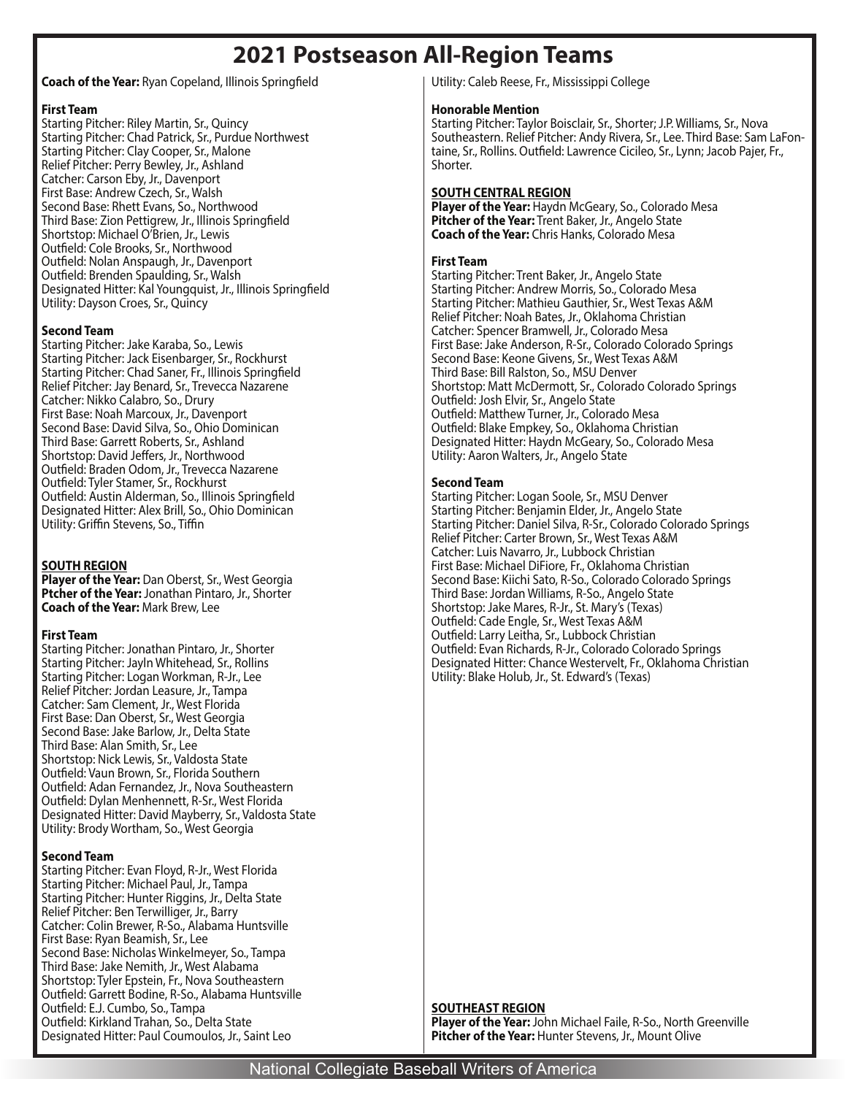# **2021 Postseason All-Region Teams**

#### **Coach of the Year:** Ryan Copeland, Illinois Springfield

#### **First Team**

Starting Pitcher: Riley Martin, Sr., Quincy Starting Pitcher: Chad Patrick, Sr., Purdue Northwest Starting Pitcher: Clay Cooper, Sr., Malone Relief Pitcher: Perry Bewley, Jr., Ashland Catcher: Carson Eby, Jr., Davenport First Base: Andrew Czech, Sr., Walsh Second Base: Rhett Evans, So., Northwood Third Base: Zion Pettigrew, Jr., Illinois Springfield Shortstop: Michael O'Brien, Jr., Lewis Outfield: Cole Brooks, Sr., Northwood Outfield: Nolan Anspaugh, Jr., Davenport Outfield: Brenden Spaulding, Sr., Walsh Designated Hitter: Kal Youngquist, Jr., Illinois Springfield Utility: Dayson Croes, Sr., Quincy

#### **Second Team**

Starting Pitcher: Jake Karaba, So., Lewis Starting Pitcher: Jack Eisenbarger, Sr., Rockhurst Starting Pitcher: Chad Saner, Fr., Illinois Springfield Relief Pitcher: Jay Benard, Sr., Trevecca Nazarene Catcher: Nikko Calabro, So., Drury First Base: Noah Marcoux, Jr., Davenport Second Base: David Silva, So., Ohio Dominican Third Base: Garrett Roberts, Sr., Ashland Shortstop: David Jeffers, Jr., Northwood Outfield: Braden Odom, Jr., Trevecca Nazarene Outfield: Tyler Stamer, Sr., Rockhurst Outfield: Austin Alderman, So., Illinois Springfield Designated Hitter: Alex Brill, So., Ohio Dominican Utility: Griffin Stevens, So., Tiffin

#### **SOUTH REGION**

**Player of the Year:** Dan Oberst, Sr., West Georgia **Ptcher of the Year:** Jonathan Pintaro, Jr., Shorter **Coach of the Year:** Mark Brew, Lee

#### **First Team**

Starting Pitcher: Jonathan Pintaro, Jr., Shorter Starting Pitcher: Jayln Whitehead, Sr., Rollins Starting Pitcher: Logan Workman, R-Jr., Lee Relief Pitcher: Jordan Leasure, Jr., Tampa Catcher: Sam Clement, Jr., West Florida First Base: Dan Oberst, Sr., West Georgia Second Base: Jake Barlow, Jr., Delta State Third Base: Alan Smith, Sr., Lee Shortstop: Nick Lewis, Sr., Valdosta State Outfield: Vaun Brown, Sr., Florida Southern Outfield: Adan Fernandez, Jr., Nova Southeastern Outfield: Dylan Menhennett, R-Sr., West Florida Designated Hitter: David Mayberry, Sr., Valdosta State Utility: Brody Wortham, So., West Georgia

#### **Second Team**

Starting Pitcher: Evan Floyd, R-Jr., West Florida Starting Pitcher: Michael Paul, Jr., Tampa Starting Pitcher: Hunter Riggins, Jr., Delta State Relief Pitcher: Ben Terwilliger, Jr., Barry Catcher: Colin Brewer, R-So., Alabama Huntsville First Base: Ryan Beamish, Sr., Lee Second Base: Nicholas Winkelmeyer, So., Tampa Third Base: Jake Nemith, Jr., West Alabama Shortstop: Tyler Epstein, Fr., Nova Southeastern Outfield: Garrett Bodine, R-So., Alabama Huntsville Outfield: E.J. Cumbo, So., Tampa Outfield: Kirkland Trahan, So., Delta State Designated Hitter: Paul Coumoulos, Jr., Saint Leo

Utility: Caleb Reese, Fr., Mississippi College

#### **Honorable Mention**

Starting Pitcher: Taylor Boisclair, Sr., Shorter; J.P. Williams, Sr., Nova Southeastern. Relief Pitcher: Andy Rivera, Sr., Lee. Third Base: Sam LaFontaine, Sr., Rollins. Outfield: Lawrence Cicileo, Sr., Lynn; Jacob Pajer, Fr., Shorter.

#### **SOUTH CENTRAL REGION**

**Player of the Year:** Haydn McGeary, So., Colorado Mesa **Pitcher of the Year:** Trent Baker, Jr., Angelo State **Coach of the Year:** Chris Hanks, Colorado Mesa

#### **First Team**

Starting Pitcher: Trent Baker, Jr., Angelo State Starting Pitcher: Andrew Morris, So., Colorado Mesa Starting Pitcher: Mathieu Gauthier, Sr., West Texas A&M Relief Pitcher: Noah Bates, Jr., Oklahoma Christian Catcher: Spencer Bramwell, Jr., Colorado Mesa First Base: Jake Anderson, R-Sr., Colorado Colorado Springs Second Base: Keone Givens, Sr., West Texas A&M Third Base: Bill Ralston, So., MSU Denver Shortstop: Matt McDermott, Sr., Colorado Colorado Springs Outfield: Josh Elvir, Sr., Angelo State Outfield: Matthew Turner, Jr., Colorado Mesa Outfield: Blake Empkey, So., Oklahoma Christian Designated Hitter: Haydn McGeary, So., Colorado Mesa Utility: Aaron Walters, Jr., Angelo State

#### **Second Team**

Starting Pitcher: Logan Soole, Sr., MSU Denver Starting Pitcher: Benjamin Elder, Jr., Angelo State Starting Pitcher: Daniel Silva, R-Sr., Colorado Colorado Springs Relief Pitcher: Carter Brown, Sr., West Texas A&M Catcher: Luis Navarro, Jr., Lubbock Christian First Base: Michael DiFiore, Fr., Oklahoma Christian Second Base: Kiichi Sato, R-So., Colorado Colorado Springs Third Base: Jordan Williams, R-So., Angelo State Shortstop: Jake Mares, R-Jr., St. Mary's (Texas) Outfield: Cade Engle, Sr., West Texas A&M Outfield: Larry Leitha, Sr., Lubbock Christian Outfield: Evan Richards, R-Jr., Colorado Colorado Springs Designated Hitter: Chance Westervelt, Fr., Oklahoma Christian Utility: Blake Holub, Jr., St. Edward's (Texas)

#### **SOUTHEAST REGION**

**Player of the Year:** John Michael Faile, R-So., North Greenville **Pitcher of the Year:** Hunter Stevens, Jr., Mount Olive